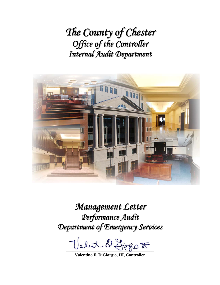*The County of Chester Office of the Controller Internal Audit Department*



# *Management Letter Performance Audit Department of Emergency Services*

Valut D. Liegio <del>to</del>

**Valentino F. DiGiorgio, III, Controller**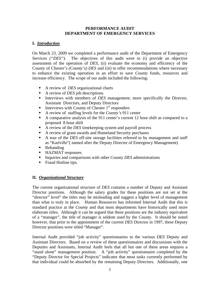#### **PERFORMANCE AUDIT DEPARTMENT OF EMERGENCY SERVICES**

#### **I.** *Introduction*

On March 23, 2009 we completed a performance audit of the Department of Emergency Services *("DES")*. The objectives of this audit were to (i) provide an objective assessment of the operation of *DES*, (ii) evaluate the economy and efficiency of the County of Chester's *(County's) DES* and (iii) to offer recommendations where necessary to enhance the existing operation in an effort to save *County* funds, resources and increase efficiency. The scope of our audit included the following:

- A review of *DES* organizational charts
- A review of *DES* job descriptions
- Interviews with members of *DES* management; more specifically the Director, Assistant Directors, and Deputy Directors
- Interviews with County of Chester  $1<sup>st</sup>$  responders
- A review of staffing levels for the *County's* 911 center
- A comparative analysis of the 911 center's current 12 hour shift as compared to a proposed 8 hour shift
- A review of the *DES* timekeeping system and payroll process
- A review of grant awards and Homeland Security purchases
- A tour of the *DES* off-site storage facilities referred to by management and staff as "Karlville"( named after the Deputy Director of Emergency Management)
- Rebanding
- HAZMAT responses
- Inquiries and comparisons with other County *DES* administrations
- Fraud Hotline tips.

### **II.** *Organizational Structure*

The current organizational structure of *DES* contains a number of Deputy and Assistant Director positions. Although the salary grades for these positions are not set at the "director" level" the titles may be misleading and suggest a higher level of management than what is truly in place. Human Resources has informed Internal Audit that this is standard practice at the *County* and that most departments have historically used more elaborate titles. Although it can be argued that these positions are the industry equivalent of a "manager", the title of manager is seldom used by the *County*. It should be noted however, that prior to the appointment of the current *DES* Director in 1997, these Deputy Director positions were titled "Manager".

Internal Audit provided "job activity" questionnaires to the various *DES* Deputy and Assistant Directors. Based on a review of these questionnaires and discussions with the Deputies and Assistants, Internal Audit feels that all but one of these areas requires a "stand alone" management position. A "job activity" questionnaire completed by the "Deputy Director for Special Projects" indicates that most tasks currently performed by that individual could be absorbed by the remaining Deputy Directors. Additionally, one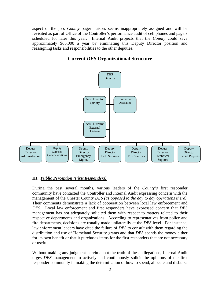aspect of the job, *County* pager liaison, seems inappropriately assigned and will be revisited as part of Office of the Controller's performance audit of cell phones and pagers scheduled for later this year. Internal Audit projects that the *County* could save approximately \$65,000 a year by eliminating this Deputy Director position and reassigning tasks and responsibilities to the other deputies.

## **Current** *DES* **Organizational Structure**



#### **III.** *Public Perception (First Responders)*

During the past several months, various leaders of the *County*'*s* first responder community have contacted the Controller and Internal Audit expressing concern with the management of the Chester County *DES (as opposed to the day to day operations there).*  Their comments demonstrate a lack of cooperation between local law enforcement and *DES*. Local law enforcement and first responders have expressed concern that *DES* management has not adequately solicited them with respect to matters related to their respective departments and organizations. According to representatives from police and fire departments, decisions are usually made unilaterally at the *DES* level. For instance, law enforcement leaders have cited the failure of *DES* to consult with them regarding the distribution and use of Homeland Security grants and that *DES* spends the money either for its own benefit or that it purchases items for the first responders that are not necessary or useful.

Without making any judgment herein about the truth of these allegations, Internal Audit urges *DES* management to actively and continuously solicit the opinions of the first responder community in making the determination of how to spend, allocate and disburse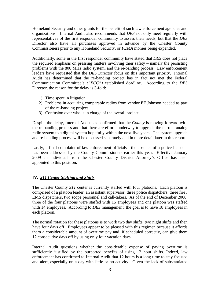Homeland Security and other grants for the benefit of such law enforcement agencies and organizations. Internal Audit also recommends that *DES* not only meet regularly with representatives of the first responder community to assess their needs, but that the *DES* Director also have all purchases approved in advance by the Chester County Commissioners prior to any Homeland Security, or *PEMA* monies being expended.

Additionally, some in the first responder community have stated that *DES* does not place the required emphasis on pressing matters involving their safety – namely the persisting problems with the 800 MHz radio system, and the re-banding process. Law enforcement leaders have requested that the *DES* Director focus on this important priority. Internal Audit has determined that the re-banding project has in fact not met the Federal Communication Committee's *("FCC")* established deadline. According to the *DES* Director, the reason for the delay is 3-fold:

- 1) Time spent in litigation
- 2) Problems in acquiring comparable radios from vendor EF Johnson needed as part of the re-banding project
- 3) Confusion over who is in charge of the overall project.

Despite the delay, Internal Audit has confirmed that the *County* is moving forward with the re-banding process and that there are efforts underway to upgrade the current analog radio system to a digital system hopefully within the next five years. The system upgrade and re-banding process will be discussed separately and in more detail later in this report.

Lastly, a final complaint of law enforcement officials - the absence of a police liaison has been addressed by the County Commissioners earlier this year. Effective January 2009 an individual from the Chester County District Attorney's Office has been appointed to this position.

#### **IV.** *911 Center Staffing and Shifts*

The Chester County *911* center is currently staffed with four platoons. Each platoon is comprised of a platoon leader, an assistant supervisor, three police dispatchers, three fire / EMS dispatchers, two scope personnel and call-takers. As of the end of December 2008, three of the four platoons were staffed with 15 employees and one platoon was staffed with 14 employees. According to *DES* management, the goal is to have 18 employees in each platoon.

The normal rotation for these platoons is to work two day shifts, two night shifts and then have four days off. Employees appear to be pleased with this regimen because it affords them a considerable amount of overtime pay and, if scheduled correctly, can give them 12 consecutive days off by using only four vacation days.

Internal Audit questions whether the considerable expense of paying overtime is sufficiently justified by the purported benefits of using 12 hour shifts. Indeed, law enforcement has confirmed to Internal Audit that 12 hours is a long time to stay focused and alert, especially on a day with little or no activity. Given the lack of substantiated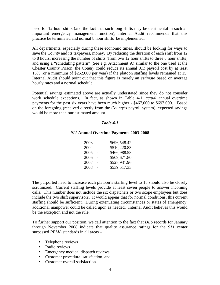need for 12 hour shifts (and the fact that such long shifts may be detrimental in such an important emergency management function), Internal Audit recommends that this practice be terminated and normal 8 hour shifts be implemented.

All departments, especially during these economic times, should be looking for ways to save the C*ounty* and its taxpayers, money. By reducing the duration of each shift from 12 to 8 hours, increasing the number of shifts (from two 12 hour shifts to three 8 hour shifts) and using a "scheduling pattern" (See e.g. Attachment A) similar to the one used at the Chester County Prison, the C*ounty* could reduce its annual *911* payroll cost by at least 15% (or a minimum of \$252,000 per year) if the platoon staffing levels remained at 15. Internal Audit should point out that this figure is merely an *estimate* based on average hourly rates and a normal schedule.

Potential savings estimated above are actually understated since they do not consider work schedule exceptions. In fact, as shown in Table 4-1, *actual* annual overtime payments for the past six years have been much higher - \$467,000 to \$697,000. Based on the foregoing (received directly from the *County's* payroll system), expected savings would be more than our estimated amount.

#### *Table 4-1*

#### *911* **Annual Overtime Payments 2003-2008**

| 2003 | \$696,548.42 |
|------|--------------|
| 2004 | \$510,220.83 |
| 2005 | \$466,988.58 |
| 2006 | \$509,671.80 |
| 2007 | \$528,931.96 |
| 2008 | \$539,517.33 |

The purported need to increase each platoon's staffing level to 18 should also be closely scrutinized. Current staffing levels provide at least seven people to answer incoming calls. This number does not include the six dispatchers or two scope employees but does include the two shift supervisors. It would appear that for normal conditions, this current staffing should be sufficient. During extenuating circumstances or states of emergency, additional manpower could be called upon as needed. Internal Audit believes this would be the exception and not the rule.

To further support our position, we call attention to the fact that *DES* records for January through November 2008 indicate that quality assurance ratings for the *911* center surpassed *PEMA* standards in all areas –

- **Telephone reviews**
- Radio reviews
- **Emergency medical dispatch reviews**
- Customer procedural satisfaction, and
- Customer overall satisfaction.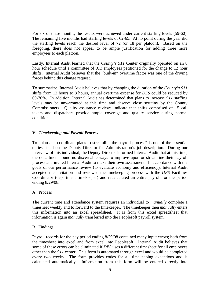For six of these months, the results were achieved under current staffing levels (59-60). The remaining five months had staffing levels of 62-65. At no point during the year did the staffing levels reach the desired level of 72 (or 18 per platoon). Based on the foregoing, there does not appear to be ample justification for adding three more employees to each platoon.

Lastly, Internal Audit learned that the *County's 911* Center originally operated on an 8 hour schedule until a committee of *911* employees petitioned for the change to 12 hour shifts. Internal Audit believes that the "built-in" overtime factor was one of the driving forces behind this change request.

To summarize, Internal Audit believes that by changing the duration of the *County's 911* shifts from 12 hours to 8 hours, annual overtime expense for *DES* could be reduced by 60-70%. In addition, Internal Audit has determined that plans to increase *911* staffing levels may be unwarranted at this time and deserve close scrutiny by the County Commissioners. Quality assurance reviews indicate that shifts comprised of 15 call takers and dispatchers provide ample coverage and quality service during normal conditions.

#### **V.** *Timekeeping and Payroll Process*

To "plan and coordinate plans to streamline the payroll process" is one of the essential duties listed on the Deputy Director for Administration's job description. During our interview of this individual, the Deputy Director informed Internal Audit that at this time, the department found no discernable ways to improve upon or streamline their payroll process and invited Internal Audit to make their own assessment. In accordance with the goals of our performance review (to evaluate economy and efficiency), Internal Audit accepted the invitation and reviewed the timekeeping process with the *DES* Facilities Coordinator (department timekeeper) and recalculated an entire payroll for the period ending 8/29/08.

#### A. Process

The current time and attendance system requires an individual to *manually* complete a timesheet weekly and to forward to the timekeeper. The timekeeper then *manually* enters this information into an excel spreadsheet. It is from this excel spreadsheet that information is again *manually* transferred into the Peoplesoft payroll system.

#### B. Findings

Payroll records for the pay period ending 8/29/08 contained many input errors; both from the timesheet into excel and from excel into Peoplesoft. Internal Audit believes that some of these errors can be eliminated if *DES* uses a different timesheet for all employees other than the *911* center. This form is automated through excel and would be completed every two weeks. The form provides codes for all timekeeping exceptions and is calculated automatically. Information from this form will be entered directly into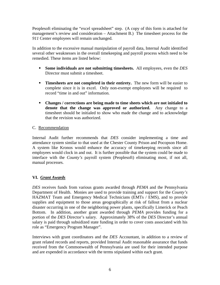Peoplesoft eliminating the "excel spreadsheet" step. (A copy of this form is attached for management's review and consideration – Attachment B.) The timesheet process for the *911* Center employees will remain unchanged.

In addition to the excessive manual manipulation of payroll data, Internal Audit identified several other weaknesses in the overall timekeeping and payroll process which need to be remedied. These items are listed below:

- **Some individuals are not submitting timesheets.** All employees, even the *DES* Director must submit a timesheet.
- **Timesheets are not completed in their entirety.** The new form will be easier to complete since it is in excel. Only non-exempt employees will be required to record "time in and out" information.
- **Changes / corrections are being made to time sheets which are not initialed to denote that the change was approved or authorized.** Any change to a timesheet should be initialed to show who made the change and to acknowledge that the revision was authorized.

#### C. Recommendation

Internal Audit further recommends that *DES* consider implementing a time and attendance system similar to that used at the Chester County Prison and Pocopson Home. A system like Kronos would enhance the accuracy of timekeeping records since all employees would clock in and out. It is further possible that the system could be made to interface with the *County's* payroll system (Peoplesoft) eliminating most, if not all, manual processes.

### **VI.** *Grant Awards*

*DES* receives funds from various grants awarded through *PEMA* and the Pennsylvania Department of Health. Monies are used to provide training and support for the *County's* HAZMAT Team and Emergency Medical Technicians (EMTs / EMS), and to provide supplies and equipment to those areas geographically at risk of fallout from a nuclear disaster occurring in one of the neighboring power plants, specifically Limerick or Peach Bottom. In addition, another grant awarded through *PEMA* provides funding for a portion of the *DES* Director's salary. Approximately 38% of the *DES* Director's annual salary is paid through subsidized state funding in order to cover costs associated with his role as "Emergency Program Manager".

Interviews with grant coordinators and the *DES* Accountant, in addition to a review of grant related records and reports, provided Internal Audit reasonable assurance that funds received from the Commonwealth of Pennsylvania are used for their intended purpose and are expended in accordance with the terms stipulated within each grant.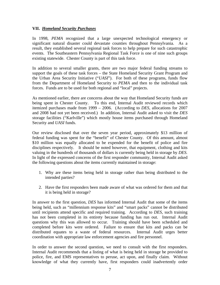#### **VII.** *Homeland Security Purchases*

In 1998, *PEMA* recognized that a large unexpected technological emergency or significant natural disaster could devastate counties throughout Pennsylvania. As a result, they established several regional task forces to help prepare for such catastrophic events. The Southeastern Pennsylvania Regional Task Force is one of nine such groups existing statewide. Chester County is part of this task force.

In addition to several smaller grants, there are two major federal funding streams to support the goals of these task forces – the State Homeland Security Grant Program and the Urban Area Security Initiative ("*UASI*"). For both of these programs, funds flow from the Department of Homeland Security to *PEMA* and then to the individual task forces. Funds are to be used for both regional and "local" projects.

As mentioned earlier, there are concerns about the way that Homeland Security funds are being spent in Chester County. To this end, Internal Audit reviewed records which itemized purchases made from 1999 – 2006. (According to *DES*, allocations for 2007 and 2008 had not yet been received.) In addition, Internal Audit asked to visit the *DES*  storage facilities ("Karlville") which mostly house items purchased through Homeland Security and *UASI* funds.

Our review disclosed that over the seven year period, approximately \$13 million of federal funding was spent for the "benefit" of Chester County. Of this amount, almost \$10 million was equally allocated to be expended for the benefit of police and fire disciplines respectively. It should be noted however, that equipment, clothing and kits valuing in the hundreds of thousands of dollars is currently being held in storage by *DES.* In light of the expressed concerns of the first responder community, Internal Audit asked the following questions about the items currently maintained in storage:

- 1. Why are these items being held in storage rather than being distributed to the intended parties?
- 2. Have the first responders been made aware of what was ordered for them and that it is being held in storage?

In answer to the first question, *DES* has informed Internal Audit that some of the items being held, such as "millennium response kits" and "smart packs" cannot be distributed until recipients attend specific and required training. According to *DES,* such training has not been completed in its entirety because funding has run out. Internal Audit questions why this was allowed to occur. Training should have been scheduled and completed before kits were ordered. Failure to ensure that kits and packs can be distributed equates to a waste of federal resources. Internal Audit urges better coordination with appropriate law enforcement agencies and fire personnel.

In order to answer the second question, we need to consult with the first responders. Internal Audit recommends that a listing of what is being held in storage be provided to police, fire, and EMS representatives to peruse, act upon, and finally claim. Without knowledge of what they currently have, first responders could inadvertently order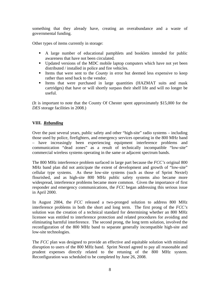something that they already have, creating an overabundance and a waste of governmental funding.

Other types of items currently in storage:

- A large number of educational pamphlets and booklets intended for public awareness that have not been circulated.
- Updated versions of the MDC mobile laptop computers which have not yet been distributed / installed in police and fire vehicles.
- Items that were sent to the *County* in error but deemed less expensive to keep rather than send back to the vendor.
- Items that were purchased in large quantities (HAZMAT suits and mask cartridges) that have or will shortly surpass their shelf life and will no longer be useful.

(It is important to note that the County Of Chester spent approximately \$15,000 for the *DES* storage facilities in 2008.)

#### **VIII.** *Rebanding*

Over the past several years, public safety and other "high-site" radio systems – including those used by police, firefighters, and emergency services operating in the 800 MHz band – have increasingly been experiencing equipment interference problems and communication "dead zones" as a result of technically incompatible "low-site" commercial wireless systems operating in the same or adjacent spectrum bands.

The 800 MHz interference problem surfaced in large part because the *FCC's* original 800 MHz band plan did not anticipate the extent of development and growth of "low-site" cellular type systems. As these low-site systems (such as those of Sprint Nextel) flourished, and as high-site 800 MHz public safety systems also became more widespread, interference problems became more common. Given the importance of first responder and emergency communications, the *FCC* began addressing this serious issue in April 2000.

In August 2004, the *FCC* released a two-pronged solution to address 800 MHz interference problems in both the short and long term. The first prong of the *FCC's*  solution was the creation of a technical standard for determining whether an 800 MHz licensee was entitled to interference protection and related procedures for avoiding and eliminating harmful interference. The second prong, the long term solution, involved the reconfiguration of the 800 MHz band to separate generally incompatible high-site and low-site technologies.

The *FCC* plan was designed to provide an effective and equitable solution with minimal disruption to users of the 800 MHz band. Sprint Nextel agreed to pay all reasonable and prudent expenses directly related to the retuning of the 800 MHz system. Reconfiguration was scheduled to be completed by June 26, 2008.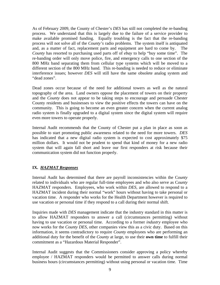As of February 2009, the County of Chester's *DES* has still not completed the re-banding process. We understand that this is largely due to the failure of a service provider to make available promised funding. Equally troubling is the fact that the re-banding process will not solve all of the *County's* radio problems. The system itself is antiquated and, as a matter of fact, replacement parts and equipment are hard to come by. The *County* has resorted to purchasing used parts off of *ebay* to help "buy some time". The re-banding order will only move police, fire, and emergency calls to one section of the 800 MHz band separating them from cellular type systems which will be moved to a different section of the 800 MHz band. This re-banding is needed to reduce or eliminate interference issues; however *DES* will still have the same obsolete analog system and "dead zones".

Dead zones occur because of the need for additional towers as well as the natural topography of the area. Land owners oppose the placement of towers on their property and the *County* does not appear to be taking steps to encourage and persuade Chester County residents and businesses to view the positive effects the towers can have on the community. This is going to become an even greater concern when the current analog radio system is finally upgraded to a digital system since the digital system will require even more towers to operate properly.

Internal Audit recommends that the County of Chester put a plan in place as soon as possible to start promoting public awareness related to the need for more towers. *DES* has indicated that a new digital radio system is expected to cost approximately \$75 million dollars. It would not be prudent to spend that kind of money for a new radio system that will again fall short and leave our first responders at risk because their communication system did not function properly.

### **IX.** *HAZMAT Responses*

Internal Audit has determined that there are payroll inconsistencies within the C*ounty* related to individuals who are regular full-time employees and who also serve as C*ounty*  HAZMAT responders. Employees, who work within *DES,* are allowed to respond to a HAZMAT incident during their normal "work" hours without having to take personal or vacation time. A responder who works for the Health Department however is required to use vacation or personal time if they respond to a call during their normal shift.

Inquiries made with *DES* management indicate that the industry standard in this matter is to allow HAZMAT responders to answer a call (circumstances permitting) without having to use vacation or personal time. According to a former *industry* employee who now works for the *County DES,* other companies view this as a civic duty. Based on this information, it seems contradictory to require *County* employees who are performing an additional duty for the benefit of the *County* at large, to use their **own time** to fulfill their commitment as a "Hazardous Material Responder".

Internal Audit suggests that the Commissioners consider approving a policy whereby employee / HAZMAT responders would be permitted to answer calls during normal business hours (circumstances permitting) without using personal or vacation time. Time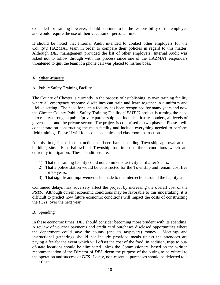expended for training however, should continue to be the responsibility of the employee and would require the use of their vacation or personal time.

It should be noted that Internal Audit intended to contact other employers for the *County's* HAZMAT team in order to compare their policies in regard to this matter. Although *DES* management provided the list of other employers, Internal Audit was asked not to follow through with this process since one of the HAZMAT responders threatened to quit the team if a phone call was placed to his/her boss.

#### **X.** *Other Matters*

#### A. Public Safety Training Facility

The County of Chester is currently in the process of establishing its own training facility where all emergency response disciplines can train and learn together in a uniform and lifelike setting. The need for such a facility has been recognized for many years and now the Chester County Public Safety Training Facility *("PSTF")* project is turning the need into reality through a public/private partnership that includes first responders, all levels of government and the private sector. The project is comprised of two phases. Phase I will concentrate on constructing the main facility and include everything needed to perform field training. Phase II will focus on academics and classroom instruction.

At this time, Phase I construction has been halted pending Township approval at the building site. East Fallowfield Township has imposed three conditions which are currently in litigation. These conditions are:

- 1) That the training facility could not commence activity until after 9 a.m.,
- 2) That a police station would be constructed for the Township and remain cost free for 99 years,
- 3) That significant improvements be made to the intersection around the facility site.

Continued delays may adversely affect the project by increasing the overall cost of the *PSTF*. Although current economic conditions may be favorable to this undertaking, it is difficult to predict how future economic conditions will impact the costs of constructing the *PSTF* over the next year.

#### B. Spending

In these economic times, *DES* should consider becoming more prudent with its spending. A review of voucher payments and credit card purchases disclosed opportunities where the department could save the county (and its taxpayers) money. Meetings and instructional gatherings should not include provided meals unless the attendees are paying a fee for the event which will offset the cost of the food. In addition, trips to outof-state locations should be eliminated unless the Commissioners, based on the written recommendation of the Director of *DES*, deem the purpose of the outing to be critical to the operation and success of *DES*. Lastly, non-essential purchases should be deferred to a later time.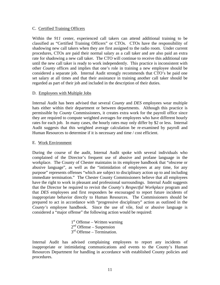#### C. Certified Training Officers

Within the *911* center, experienced call takers can attend additional training to be classified as "Certified Training Officers" or CTOs. CTOs have the responsibility of shadowing new call takers when they are first assigned to the radio room. Under current procedures, CTOs are paid their normal salary as a call taker and are also paid an extra rate for shadowing a new call taker. The CTO will continue to receive this additional rate until the new call taker is ready to work independently. This practice is inconsistent with other *County* offices and implies that one's role in training a new employee should be considered a separate job. Internal Audit strongly recommends that CTO's be paid one set salary at all times and that their assistance in training another call taker should be regarded as part of their job and included in the description of their duties.

#### D. Employees with Multiple Jobs

Internal Audit has been advised that several *County* and *DES* employees wear multiple hats either within their department or between departments. Although this practice is permissible by *County* Commissioners, it creates extra work for the payroll office since they are required to compute weighted averages for employees who have different hourly rates for each job. In many cases, the hourly rates may only differ by \$2 or less. Internal Audit suggests that this weighted average calculation be re-examined by payroll and Human Resources to determine if it is necessary and time / cost efficient.

#### E. Work Environment

During the course of the audit, Internal Audit spoke with several individuals who complained of the Director's frequent use of abusive and profane language in the workplace. The County of Chester maintains in its employee handbook that "obscene or abusive language", as well as the "intimidation of employees at any time, for any purpose" represents offenses "which are subject to disciplinary action up to and including immediate termination." The Chester County Commissioners believe that all employees have the right to work in pleasant and professional surroundings. Internal Audit suggests that the Director be required to revisit the *County's Respectful Workplace* program and that *DES* employees and first responders be encouraged to report future incidents of inappropriate behavior directly to Human Resources. The Commissioners should be prepared to act in accordance with "progressive disciplinary" action as outlined in the *County's* employee handbook. Since the use of vile, foul or abusive language is considered a "major offense" the following action would be required:

> 1<sup>st</sup> Offense – Written warning  $2<sup>nd</sup>$  Offense – Suspension  $3<sup>rd</sup>$  Offense – Termination.

Internal Audit has advised complaining employees to report any incidents of inappropriate or intimidating communications and events to the County's Human Resources Department for handling in accordance with established County policies and procedures.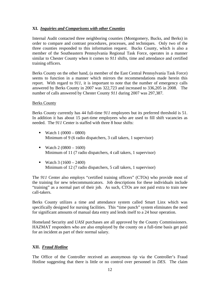#### **XI.** *Inquiries and Comparisons with other Counties*

Internal Audit contacted three neighboring counties (Montgomery, Bucks, and Berks) in order to compare and contrast procedures, processes, and techniques. Only two of the three counties responded to this information request. Bucks County, which is also a member of the Southeastern Pennsylvania Regional Task Force, operates in a manner similar to Chester County when it comes to *911* shifts, time and attendance and certified training officers.

Berks County on the other hand, (a member of the East Central Pennsylvania Task Force) seems to function in a manner which mirrors the recommendations made herein this report. With regard to *911,* it is important to note that the number of emergency calls answered by Berks County in 2007 was 322,723 and increased to 336,205 in 2008. The number of calls answered by Chester County *911* during 2007 was 297,387.

#### Berks County

Berks County currently has 44 full-time *911* employees but its preferred threshold is 51. In addition it has about 15 part-time employees who are used to fill shift vacancies as needed. The *911* Center is staffed with three 8 hour shifts:

- Watch  $1 (0000 0800)$ Minimum of 9 (6 radio dispatchers, 3 call takers, 1 supervisor)
- Watch 2  $(0800 1600)$ Minimum of 11 (7 radio dispatchers, 4 call takers, 1 supervisor)
- Watch 3  $(1600 2400)$ Minimum of 12 (7 radio dispatchers, 5 call takers, 1 supervisor)

The *911* Center also employs "certified training officers" (CTOs) who provide most of the training for new telecommunicators. Job descriptions for these individuals include "training" as a normal part of their job. As such, CTOs are not paid extra to train new call-takers.

Berks County utilizes a time and attendance system called Smart Linx which was specifically designed for nursing facilities. This "time punch" system eliminates the need for significant amounts of manual data entry and lends itself to a 24 hour operation.

Homeland Security and *UASI* purchases are all approved by the County Commissioners. HAZMAT responders who are also employed by the county on a full-time basis get paid for an incident as part of their normal salary.

#### **XII.** *Fraud Hotline*

The Office of the Controller received an anonymous tip via the Controller's Fraud Hotline suggesting that there is little or no control over personnel in *DES*. The claim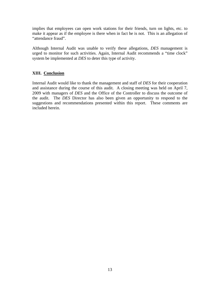implies that employees can open work stations for their friends, turn on lights, etc. to make it appear as if the employee is there when in fact he is not. This is an allegation of "attendance fraud".

Although Internal Audit was unable to verify these allegations, *DES* management is urged to monitor for such activities. Again, Internal Audit recommends a "time clock" system be implemented at *DES* to deter this type of activity.

### **XIII. Conclusion**

Internal Audit would like to thank the management and staff of *DES* for their cooperation and assistance during the course of this audit. A closing meeting was held on April 7, 2009 with managers of *DES* and the Office of the Controller to discuss the outcome of the audit. The *DES* Director has also been given an opportunity to respond to the suggestions and recommendations presented within this report. These comments are included herein.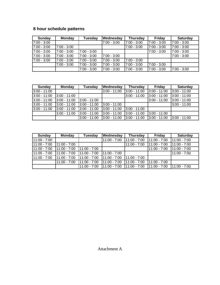## **8 hour schedule patterns**

| Sunday        | Monday        | Tuesday       | <b>Wednesday</b> | <b>Thursday</b> | <b>Friday</b> | <b>Saturday</b> |
|---------------|---------------|---------------|------------------|-----------------|---------------|-----------------|
| $7:00 - 3:00$ |               |               | 7:00 - 3:00      | $7:00 - 3:00$   | $7:00 - 3:00$ | $7:00 - 3:00$   |
| l7:00 - 3:00  | $7:00 - 3:00$ |               |                  | $7:00 - 3:00$   | $7:00 - 3:00$ | $17:00 - 3:00$  |
| $7:00 - 3:00$ | 7:00 - 3:00   | $7:00 - 3:00$ |                  |                 | $7:00 - 3:00$ | 17:00 - 3:00    |
| 7:00 - 3:00   | $7:00 - 3:00$ | 17:00 - 3:00  | $7:00 - 3:00$    |                 |               | $7:00 - 3:00$   |
| $7:00 - 3:00$ | $7:00 - 3:00$ | $7:00 - 3:00$ | $7:00 - 3:00$    | $7:00 - 3:00$   |               |                 |
|               | $7:00 - 3:00$ | 7:00 - 3:00   | $7:00 - 3:00$    | $7:00 - 3:00$   | $7:00 - 3:00$ |                 |
|               |               | $7:00 - 3:00$ | $17:00 - 3:00$   | $7:00 - 3:00$   | $7:00 - 3:00$ | $7:00 - 3:00$   |

| Sunday         | <b>Monday</b>  | Tuesday        | <b>Wednesday</b> | <b>Thursday</b> | Friday         | <b>Saturday</b> |
|----------------|----------------|----------------|------------------|-----------------|----------------|-----------------|
| 3:00 - 11:00   |                |                | $3:00 - 11:00$   | $3:00 - 11:00$  | $3:00 - 11:00$ | $3:00 - 11:00$  |
| $3:00 - 11:00$ | 3:00 - 11:00   |                |                  | $3:00 - 11:00$  | $3:00 - 11:00$ | $3:00 - 11:00$  |
| $3:00 - 11:00$ | 3:00 - 11:00   | $3:00 - 11:00$ |                  |                 | $3:00 - 11:00$ | $3:00 - 11:00$  |
| $3:00 - 11:00$ | 3:00 - 11:00   | $3:00 - 11:00$ | $3:00 - 11:00$   |                 |                | $3:00 - 11:00$  |
| $3:00 - 11:00$ | $3:00 - 11:00$ | 3:00 - 11:00   | $3:00 - 11:00$   | $3:00 - 11:00$  |                |                 |
|                | $3:00 - 11:00$ | 3:00 - 11:00   | $3:00 - 11:00$   | $3:00 - 11:00$  | $3:00 - 11:00$ |                 |
|                |                | 3:00 - 11:00   | $3:00 - 11:00$   | $3:00 - 11:00$  | 3:00 - 11:00   | $3:00 - 11:00$  |

| Sunday         | <b>Monday</b>         | <b>Tuesday</b> | Wednesday       | Thursday       | <b>Friday</b>  | Saturday        |
|----------------|-----------------------|----------------|-----------------|----------------|----------------|-----------------|
| 11:00 - 7:00   |                       |                | $11:00 - 7:00$  | $11:00 - 7:00$ | $11:00 - 7:00$ | 11:00 - 7:00    |
| $11:00 - 7:00$ | $11:00 - 7:00$        |                |                 | $11:00 - 7:00$ | $11:00 - 7:00$ | $11:00 - 7:00$  |
| $11:00 - 7:00$ | 11:00 - 7:00          | $11:00 - 7:00$ |                 |                | 11:00 - 7:00   | $111:00 - 7:00$ |
| $11:00 - 7:00$ | $11:00 - 7:00$        | $11:00 - 7:00$ | $11:00 - 7:00$  |                |                | $11:00 - 7:00$  |
| 11:00 - 7:00   | $\sqrt{11:00 - 7:00}$ | 11:00 - 7:00   | $11:00 - 7:00$  | $11:00 - 7:00$ |                |                 |
|                | $11:00 - 7:00$        | $11:00 - 7:00$ | $11:00 - 7:00$  | $11:00 - 7:00$ | $11:00 - 7:00$ |                 |
|                |                       | 11:00 - 7:00   | $111:00 - 7:00$ | $11:00 - 7:00$ | $11:00 - 7:00$ | $11:00 - 7:00$  |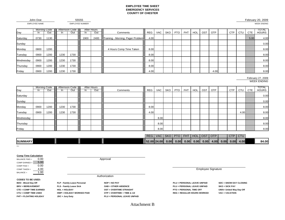#### **EMPLOYEE TIME SHEETEMERGENCY SERVICESCOUNTY OF CHESTER**

WEEK ENDING

John Doe EMPLOYEE NAME

Morning Code Afternoon Code After Hours TOTAL Day In Out In Out In Out In Out In Out Comments REG VAC SKO PTO FHT HOL OST OTP I CTP CTU CTE I HOURS Saturday | 0730 | 1130 | | | | | | | | 1900 | 2400 | Training - Morning; Pager Problem | 4.00 | | | | | | | | | | | | | | | | | 5.00 | 4.00 | 4.00 Sunday 0.00 Monday 0800 1200 4 Hours Comp Time Taken 8.00 8.00 Tuesday 0900 1200 1230 1730 8.00 8.00 Wednesday 0900 1200 1230 1730 8.00 8.00 Thursday 0900 1200 1230 1730 8.00 8.00 Friday 0900 1200 1230 1730 4.00 4.00 8.00

#### WEEK ENDING February 27, 2009

| Day       | In.  | Morning Code<br>Out | In.  | Afternoon Code<br>Out | In. | After Hours<br>Out | Comments | REG  | VAC  | SKO   PTO | <b>FHT</b> | HOL | OST | <b>OTP</b> | <b>CTP</b> | <b>CTU</b> | <b>CTE</b> | <b>TOTAL</b><br><b>HOURS</b> |
|-----------|------|---------------------|------|-----------------------|-----|--------------------|----------|------|------|-----------|------------|-----|-----|------------|------------|------------|------------|------------------------------|
| Saturday  |      |                     |      |                       |     |                    |          |      |      |           |            |     |     |            |            |            |            | 0.00                         |
| Sunday    |      |                     |      |                       |     |                    |          |      |      |           |            |     |     |            |            |            |            | 0.00                         |
| Monday    | 0900 | 1200                | 1230 | 1730                  |     |                    |          | 8.00 |      |           |            |     |     |            |            |            |            | 8.00                         |
| Tuesday   | 0900 | 1200                | 1230 | 1730                  |     |                    |          | 4.00 |      |           |            |     |     |            |            | 4.00       |            | 8.00                         |
| Wednesday |      |                     |      |                       |     |                    |          |      | 8.00 |           |            |     |     |            |            |            |            | 8.00                         |
| Thursday  |      |                     |      |                       |     |                    |          |      | 8.00 |           |            |     |     |            |            |            |            | 8.00                         |
| Friday    |      |                     |      |                       |     |                    |          |      | 8.00 |           |            |     |     |            |            |            |            | 8.00                         |

|                |  | REG                     | <b>VAC</b> | SKO PTO |      | <b>FHT</b> | HOL  | <b>OST</b> | OTP  |      | <b>CTP</b> | <b>CTU</b> |       |
|----------------|--|-------------------------|------------|---------|------|------------|------|------------|------|------|------------|------------|-------|
| <b>SUMMARY</b> |  | $\parallel$ 52.00 24.00 |            | 0.00    | 0.00 | 0.00       | 0.00 | 0.00       | 4.00 | 0.00 | 0.00       | 4.00       | 84.00 |

BALANCE FWD = 0.00 COMP EARNED = 5.00 COMP PAID = 0.00 COMP TAKEN = 4.00  $BALANCE =$ 1.00

**CODES TO BE USED:**

**BRV = BEREAVEMENT**

**CTE = COMP TIME EARNED**

**FHT = FLOATING HOLIDAY**

**CTU = COMP TIME USED**

**Comp Time Calculation**

39864

Approval

**Authorization** 

**BDO - Blood Day Off FLP - Family Leave Personal NOP = NO PAY PLU = PERSONAL LEAVE UNPAID SDC = SNOW DAY CLOSING JDC = Jury Duty PLU = PERSONAL LEAVE UNPAID**

EMPLOYEE NUMBER

55555

 **FLS - Family Leave Sick OAB = OTHER ABSENCE PLU = PERSONAL LEAVE UNPAID SKO = SICK PAY HOL = HOLIDAY OST = OVERTIME STRAIGHT PTO = PERSONAL TIME OFF UWA= United Way Day Off HWP = HOLIDAY WORKED PAID OTP = OVERTIME + TIME & 1/2 REG = REGULAR HOURS WORKED VAC = VACATION**

Employee Signature

Attachment B

February 20, 2009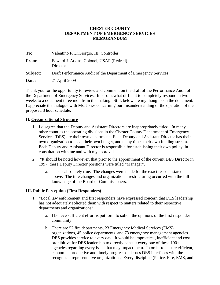#### **CHESTER COUNTY DEPARTMENT OF EMERGENCY SERVICES MEMORANDUM**

| To:          | Valentino F. DiGiorgio, III, Controller                         |
|--------------|-----------------------------------------------------------------|
| <b>From:</b> | Edward J. Atkins, Colonel, USAF (Retired)<br>Director           |
| Subject:     | Draft Performance Audit of the Department of Emergency Services |
| <b>Date:</b> | 21 April 2009                                                   |

Thank you for the opportunity to review and comment on the draft of the Performance Audit of the Department of Emergency Services. It is somewhat difficult to completely respond in two weeks to a document three months in the making. Still, below are my thoughts on the document. I appreciate the dialogue with Ms. Jones concerning our misunderstanding of the operation of the proposed 8 hour schedule.

#### **II. Organizational Structure**

- 1. I disagree that the Deputy and Assistant Directors are inappropriately titled. In many other counties the operating divisions in the Chester County Department of Emergency Services (DES) are their own department. Each Deputy and Assistant Director has their own organization to lead, their own budget, and many times their own funding stream. Each Deputy and Assistant Director is responsible for establishing their own policy, in consultation with me and with my approval.
- 2. "It should be noted however, that prior to the appointment of the current DES Director in 1997, these Deputy Director positions were titled "Manager".
	- a. This is absolutely true. The changes were made for the exact reasons stated above. The title changes and organizational restructuring occurred with the full knowledge of the Board of Commissioners.

#### **III. Public Perception (First Responders)**

- 1. "Local law enforcement and first responders have expressed concern that DES leadership has not adequately solicited them with respect to matters related to their respective departments and organizations".
	- a. I believe sufficient effort is put forth to solicit the opinions of the first responder community.
	- b. There are 52 fire departments, 23 Emergency Medical Services (EMS) organizations, 45 police departments, and 73 emergency management agencies DES provides service to every day. It would be impractical, inefficient and cost prohibitive for DES leadership to directly consult every one of these 190+ agencies regarding every issue that may impact them. In order to ensure efficient, economic, productive and timely progress on issues DES interfaces with the recognized representative organizations. Every discipline (Police, Fire, EMS, and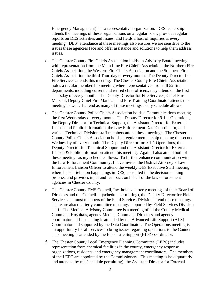Emergency Management) has a representative organization. DES leadership attends the meetings of these organizations on a regular basis, provides regular reports on DES activities and issues, and fields a host of inquiries at every meeting. DES' attendance at these meetings also ensures we are sensitive to the issues these agencies face and offer assistance and solutions to help them address issues.

- c. The Chester County Fire Chiefs Association holds an Advisory Board meeting with representation from the Main Line Fire Chiefs Association, the Northern Fire Chiefs Association, the Western Fire Chiefs Association and the Southern Fire Chiefs Association the third Thursday of every month. The Deputy Director for Fire Services attends this meeting. The Chester County Fire Chiefs Association holds a regular membership meeting where representatives from all 52 fire departments, including current and retired chief officers, may attend on the first Thursday of every month. The Deputy Director for Fire Services, Chief Fire Marshal, Deputy Chief Fire Marshal, and Fire Training Coordinator attends this meeting as well. I attend as many of these meetings as my schedule allows.
- d. The Chester County Police Chiefs Association holds a Communications meeting the first Wednesday of every month. The Deputy Director for 9-1-1 Operations, the Deputy Director for Technical Support, the Assistant Director for External Liaison and Public Information, the Law Enforcement Data Coordinator, and various Technical Division staff members attend these meetings. The Chester County Police Chiefs Association holds a regular membership meeting the second Wednesday of every month. The Deputy Director for 9-1-1 Operations, the Deputy Director for Technical Support and the Assistant Director for External Liaison & Public Information attend this meeting. Again, I also attend both of these meetings as my schedule allows. To further enhance communication with the Law Enforcement Community, I have invited the District Attorney's Law Enforcement Liaison Officer to attend the weekly DES Executive Staff meeting where he is briefed on happenings in DES, consulted in the decision making process, and provides input and feedback on behalf of the law enforcement agencies in Chester County.
- e. The Chester County EMS Council, Inc. holds quarterly meetings of their Board of Directors and the Council. I (schedule permitting), the Deputy Director for Field Services and most members of the Field Services Division attend these meetings. There are also quarterly committee meetings supported by Field Services Division staff. The Medical Advisory Committee is a meeting of all the County Medical Command Hospitals, agency Medical Command Directors and agency coordinators. This meeting is attended by the Advanced Life Support (ALS) Coordinator and supported by the Data Coordinator. The Operations meeting is an opportunity for all services to bring issues regarding operations to the Council. This meeting is attended by the Basic Life Support (BLS) coordinator.
- f. The Chester County Local Emergency Planning Committee (LEPC) includes representation from chemical facilities in the county, emergency response organizations, residents, and emergency management coordinators. The members of the LEPC are appointed by the Commissioners. This meeting is held quarterly and attended by me (schedule permitting), the Assistant Director for External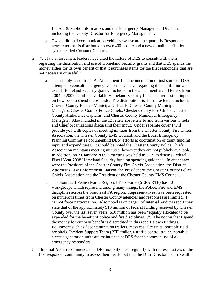Liaison & Public Information, and the Emergency Management Division, including the Deputy Director for Emergency Management.

- g. Two additional communication vehicles we use are the quarterly Responder newsletter that is distributed to over 400 people and a new e-mail distribution system called Constant Contact.
- 2. "… law enforcement leaders have cited the failure of DES to consult with them regarding the distribution and use of Homeland Security grants and that DES spends the money either for its own benefit or that it purchases items for the first responders that are not necessary or useful."
	- a. This simply is not true. At Attachment 1 is documentation of just some of DES' attempts to consult emergency response agencies regarding the distribution and use of Homeland Security grants. Included in the attachment are 13 letters from 2004 to 2007 detailing available Homeland Security funds and requesting input on how best to spend these funds. The distribution list for these letters includes Chester County Elected Municipal Officials, Chester County Municipal Managers, Chester County Police Chiefs, Chester County Fire Chiefs, Chester County Ambulance Captains, and Chester County Municipal Emergency Managers. Also included in the 13 letters are letters to and from various Chiefs and Chief organizations discussing their input. Under separate cover I will provide you with copies of meeting minutes from the Chester County Fire Chiefs Association, the Chester County EMS Council, and the Local Emergency Planning Committee documenting DES' efforts at coordination of grant funding input and expenditures. It should be noted the Chester County Police Chiefs Association maintains meeting minutes; however they are not publicly available. In addition, on 21 January 2009 a meeting was held in DES to discuss Federal Fiscal Year 2008 Homeland Security funding spending guidance. In attendance were the President of the Chester County Fire Chiefs Association, the District Attorney's Law Enforcement Liaison, the President of the Chester County Police Chiefs Association and the President of the Chester County EMS Council.
	- b. The Southeast Pennsylvania Regional Task Force (SEPA RTF) has 10 workgroups which represent, among many things, the Police, Fire and EMS disciplines across the Southeast PA region. Representatives have been requested on numerous times from Chester County agencies and responses are limited. I cannot force participation. Also noted is on page 7 of Internal Audit's report they state that of the approximately \$13 million of federal funding received by Chester County over the last seven years, \$10 million has been "equally allocated to be expended for the benefit of police and fire disciplines…". The notion that I spend the money for our own benefit is discredited in this report's own findings. Equipment such as decontamination trailers, mass casualty units, portable field hospitals, Incident Support Team (IST) trailer, a traffic control trailer, portable electric generation units are maintained at DES for the common use of all emergency responders.
- 3. "Internal Audit recommends that DES not only meet regularly with representatives of the first responder community to assess their needs, but that the DES Director also have all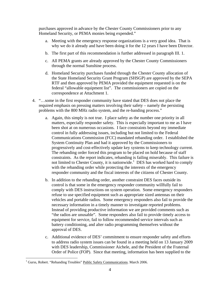purchases approved in advance by the Chester County Commissioners prior to any Homeland Security, or PEMA monies being expended."

- a. Meeting with the emergency response organizations is a very good idea. That is why we do it already and have been doing it for the 12 years I have been Director.
- b. The first part of this recommendation is further addressed in paragraph III. 1.
- c. All PEMA grants are already approved by the Chester County Commissioners through the normal Sunshine process.
- d. Homeland Security purchases funded through the Chester County allocation of the State Homeland Security Grant Program (SHSGP) are approved by the SEPA RTF and then approved by PEMA provided the equipment requested is on the federal "allowable equipment list". The commissioners are copied on the correspondence at Attachment 1.
- 4. "…some in the first responder community have stated that DES does not place the required emphasis on pressing matters involving their safety – namely the persisting problems with the 800 MHz radio system, and the re-banding process."
	- a. Again, this simply is not true. I place safety as the number one priority in all matters, especially responder safety. This is especially important to me as I have been shot at on numerous occasions. I face constraints beyond my immediate control in fully addressing issues, including but not limited to the Federal Communications Commission (FCC) mandated rebanding order. I established the System Continuity Plan and had it approved by the Commissioners to progressively and cost-effectively update key systems to keep technology current. The rebanding order forced this program to be placed on hold because of staff constraints. As the report indicates, rebanding is failing miserably. This failure is not limited to Chester County, it is nationwide.<sup>[1](#page-19-0)</sup> DES has worked hard to comply with the rebanding order while protecting the interests of the emergency responder community and the fiscal interests of the citizens of Chester County.
	- b. In addition to the rebanding order, another constraint DES faces outside its control is that some in the emergency responder community willfully fail to comply with DES instructions on system operation. Some emergency responders refuse to use specified equipment such as appropriate sized antennas on their vehicles and portable radios. Some emergency responders also fail to provide the necessary information in a timely manner to investigate reported problems. Instead of providing productive information we are provided comments such as "the radios are unusable". Some responders also fail to provide timely access to equipment for service, fail to follow recommended service intervals such as battery conditioning, and alter radio programming themselves without the approval of DES.
	- c. Additional evidence of DES' commitment to ensure responder safety and efforts to address radio system issues can be found in a meeting held on 13 January 2009 with DES leadership, Commissioner Aichele, and the President of the Fraternal Order of Police (FOP). Since that meeting, information has been supplied to the

<span id="page-19-0"></span><sup>&</sup>lt;sup>1</sup> Gurss, Robert. "Rebanding Troubles" Public Safety Communications. March 2006.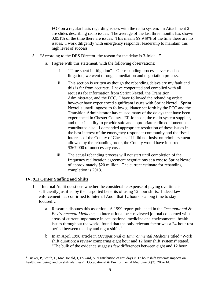FOP on a regular basis regarding issues with the radio system. In Attachment 2 are slides describing radio issues. The average of the last three months has shown 0.051% of the time there are issues. This means 99.949% of the time there are no issues. I work diligently with emergency responder leadership to maintain this high level of success.

- 5. "According to the DES Director, the reason for the delay is 3-fold:…"
	- a. I agree with this statement, with the following observations:
		- i. "Time spent in litigation" Our rebanding process never reached litigation, we went through a mediation and negotiation process.
		- ii. This section is written as though the rebanding delays are my fault and this is far from accurate. I have cooperated and complied with all requests for information from Sprint Nextel, the Transition Administrator, and the FCC. I have followed the rebanding order; however have experienced significant issues with Sprint Nextel. Sprint Nextel's unwillingness to follow guidance set forth by the FCC and the Transition Administrator has caused many of the delays that have been experienced in Chester County. EF Johnson, the radio system supplier, and their inability to provide safe and appropriate radio equipment has contributed also. I demanded appropriate resolution of these issues in the best interest of the emergency responder community and the fiscal interests of the County of Chester. If I did not insist on reimbursement allowed by the rebanding order, the County would have incurred \$367,000 of unnecessary cost.
		- iii. The actual rebanding process will not start until completion of the frequency reallocation agreement negotiations at a cost to Sprint Nextel of approximately \$20 million. The current estimate for rebanding completion is 2013.

#### **IV. 911 Center Staffing and Shifts**

- 1. "Internal Audit questions whether the considerable expense of paying overtime is sufficiently justified by the purported benefits of using 12 hour shifts. Indeed law enforcement has confirmed to Internal Audit that 12 hours is a long time to stay focused…"
	- a. Research disputes this assertion. A 1999 report published in the *Occupational & Environmental Medicine*, an international peer reviewed journal concerned with areas of current importance in occupational medicine and environmental health issues throughout the world, found that the only relevant factor was a 24-hour rest period between the day and night shifts. $^{2}$  $^{2}$  $^{2}$
	- b. In an April 1998 article in *Occupational & Environmental Medicine* titled "Work shift duration: a review comparing eight hour and 12 hour shift systems" stated, "The bulk of the evidence suggests few differences between eight and 12 hour

<span id="page-20-0"></span><sup>&</sup>lt;sup>2</sup> Tucker, P, Smith, L, MacDonald, I, Folkard, S. "Distribution of rest days in 12 hour shift systems: impacts on health, wellbeing, and on shift alertness". Occupational & Environmental Medicine 56(3): 206-214.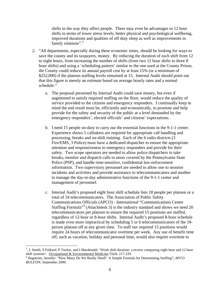shifts in the way they affect people. There may even be advantages to 12 hour shifts in terms of lower stress levels, better physical and psychological wellbeing, improved durations and qualities of off duty sleep as well as improvements in family relations".<sup>[3](#page-21-0)</sup>

- 2. "All departments, especially during these economic times, should be looking for ways to save the county and its taxpayers, money. By reducing the duration of each shift from 12 to eight hours, from increasing the number of shifts (from two 12 hour shifts to three 8 hour shifts) and using a 'scheduling pattern' similar to the one used at the County Prison, the County could reduce its annual payroll cost by at least 15% (or a minimum of \$252,000) if the platoon staffing levels remained at 15. Internal Audit should point out that this figure is merely an *estimate* based on average hourly rates and a normal schedule."
	- a. The proposal presented by Internal Audit could save money, but even if augmented to satisfy required staffing on the floor, would reduce the quality of service provided to the citizens and emergency responders. I continually keep in mind the end result must be, efficiently and economically, to promote and help provide for the safety and security of the public at a level demanded by the emergency responders', elected officials' and citizens' expectations.
	- b. I need 15 people on-duty to carry out the essential functions in the 9-1-1 center. Experience shows 5 calltakers are required for appropriate call handling and processing, breaks and on-shift training. Each of the 6 radio districts (3 Fire/EMS, 3 Police) must have a dedicated dispatcher to ensure the appropriate attention and responsiveness to emergency responders and provide for their safety. Two scope operators are needed to allow police dispatchers to take breaks, monitor and dispatch calls to areas covered by the Pennsylvania State Police (PSP), and handle time-sensitive, confidential law-enforcement information. Two supervisory personnel are needed to allow one to monitor incidents and activities and provide assistance to telecommunicators and another to manage the day-to-day administrative functions of the 9-1-1 center and management of personnel.
	- c. Internal Audit's proposed eight hour shift schedule lists 18 people per platoon or a total of 54 telecommunicators. The Association of Public Safety Communications Officials (APCO) - International "Communications Center Staffing Formula<sup>"[4](#page-21-1)</sup> (Attachment 3) is the industry standard and shows we need 20 telecommunicators per platoon to ensure the required 15 positions are staffed, regardless of 12-hour or 8-hour shifts. Internal Audit's proposed 8-hour schedule is made even more impractical by scheduling 5 or 6 telecommunicators of the 18 person platoon off at any given time. To staff our required 15 positions would require 24 hours of telecommunicator overtime per week. Any use of benefit time off, such as vacation, holiday and personal time, would also require overtime to

<span id="page-21-0"></span><sup>&</sup>lt;sup>3</sup>. L Smith, S Folkard, P Tucker, and I Macdonald. "Work shift duration: a review comparing eight hour and 12 hour shift systems". Occupational & Environmental Medicine 55(4): 217-229. 4

<span id="page-21-1"></span>Hagstrom, Jennifer. "How Many Do We Really Need? A Simple Formula for Determining Staffing", *APCO BULETIN*, September 2000.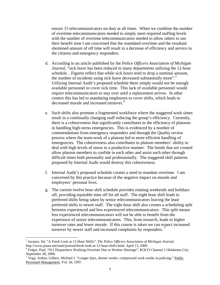ensure 15 telecommunicators on duty at all times. When we combine the number of overtime telecommunicators needed to simply meet required staffing levels with the number of overtime telecommunicators needed to allow others to use their benefit time I am concerned that the mandated overtime and the resultant shortened amount of off time will result in a decrease of efficiency and service to the citizens and emergency responders.

- d. According to an article published by the *Police Officers Association of Michigan Journal*, "sick leave has been reduced in many departments utilizing the 12-hour schedule…Figures reflect that while sick hours tend to drop a nominal amount, the number of incidents using sick leave decreased substantially more".<sup>[5](#page-22-0)</sup> Utilizing Internal Audit's proposed schedule there simply would not be enough available personnel to cover sick time. This lack of available personnel would require telecommunicators to stay over until a replacement arrives. In other centers this has led to mandating employees to cover shifts, which leads to decreased morale and increased turnover.<sup>[6](#page-22-1)</sup>
- e. Such shifts also promote a fragmented workforce where the staggered work times result in a continually changing staff reducing the group's efficiency. Currently, there is a cohesiveness that significantly contributes to the efficiency of platoons in handling high-stress emergencies. This is evidenced by a number of commendations from emergency responders and through the Quality review process where the team-work of a platoon led to more efficient handling of emergencies. The cohesiveness also contributes to platoon members' ability to deal with high levels of stress in a productive manner. The bonds that are created allow platoon members to confide in each other and assist each other through difficult times both personally and professionally. The staggered shift patterns proposed by Internal Audit would destroy this cohesiveness.
- f. Internal Audit's proposed schedule creates a need to mandate overtime. I am concerned by this practice because of the negative impact on morale and employees' personal lives.
- g. The current twelve hour shift schedule provides rotating weekends and holidays off, providing equitable time off for all staff. The eight hour shift leads to preferred shifts being taken by senior telecommunicators leaving the least preferred shifts to newer staff. The eight hour shift also creates a scheduling split between experienced and less experienced telecommunicators. This split means less experienced telecommunicators will not be able to benefit from the experience of senior telecommunicators. This, from research, leads to higher turnover rates and lower morale. If this course is taken we can expect increased turnover by newer staff and increased complaints by responders.

<span id="page-22-0"></span><sup>5</sup> Jacques, Ed, "A Fresh Look at 12-Hour Shifts", *The Police Officers Association of Michigan Journal*, http://www.poam.net/main/journal/fresh-look-at-12-hour-shifts.html. April 13, 2009.

<span id="page-22-1"></span><sup>&</sup>lt;sup>6</sup> Folger, Paul, "911 Dispatchers Working Overtime Due to Worker Shortage", KOCO Channel 5 Oklahoma City, September 28, 2008.

<span id="page-22-2"></span><sup>&</sup>lt;sup>7</sup> Vega, Arthur; Gilbert, Michael J. "Longer days, shorter weeks: compressed work weeks in policing." Public Personnel Management, Vol. 26, 1997.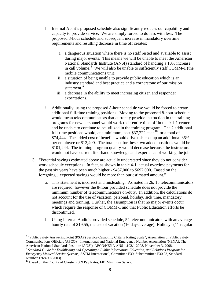- h. Internal Audit's proposed schedule also significantly reduces our capability and capacity to provide service. We are simply forced to do less with less. The proposed 8-hour schedule and subsequent increase in mandatory overtime requirements and resulting decrease in time off creates:
	- i. a dangerous situation where there is no staff rested and available to assist during major events. This means we will be unable to meet the American National Standards Institute (ANSI) standard of handling a 10% increase in call volume.<sup>[8](#page-23-0)</sup> We will also be unable to sufficiently staff COMM-1 (the mobile communications unit).
	- ii. a situation of being unable to provide public education which is an industry standard and best practice and a cornerstone of our mission statement.<sup>[9](#page-23-1)</sup>
	- iii. a decrease in the ability to meet increasing citizen and responder expectations.
- i. Additionally, using the proposed 8-hour schedule we would be forced to create additional full-time training positions. Moving to the proposed 8-hour schedule would mean telecommunicators that currently provide instruction in the training programs for new personnel would work their entire time off in the 9-1-1 center and be unable to continue to be utilized in the training program. The 2 additional full-time positions would, at a minimum, cost  $$37,222$  each<sup>10</sup>, or a total of \$74,444. The added cost of benefits would drive this cost up an additional 36% per employee or \$13,400. The total cost for these two added positions would be \$101,244. The training program quality would decrease because the instructors would not have current first-hand knowledge and experience of working the job.
- 3. "Potential savings estimated above are actually understated since they do not consider work schedule exceptions. In fact, as shown in table 4-1, actual overtime payments for the past six years have been much higher - \$467,000 to \$697,000. Based on the foregoing…expected savings would be more than our estimated amount."
	- a. This statement is incorrect and misleading. As noted in 2b, 15 telecommunicators are required; however the 8-hour provided schedule does not provide the minimum number of telecommunicators on-duty. In addition, the calculations do not account for the use of vacation, personal, holiday, sick time, mandatory meetings and training. Further, the assumption is that no major events occur which require the response of COMM-1 and that Public Education efforts be discontinued.
	- b. Using Internal Audit's provided schedule, 54 telecommunicators with an average hourly rate of \$19.55, the use of vacation (16 days average); Holidays (11 regular

<span id="page-23-0"></span><sup>&</sup>lt;sup>8</sup> "Public Safety Answering Point (PSAP) Service Capability Criteria Rating Scale", Association of Public Safety Communications Officials (APCO) – International and National Emergency Number Association (NENA), The

<span id="page-23-1"></span><sup>&</sup>lt;sup>9</sup> Standard Guide for Establishing and Operating a Public Information, Education, and Relations Program for *Emergency Medical Service Systems*, ASTM International, Committee F30, Subcommittee F30.03, Standard Number 1268-90 (2003).

<span id="page-23-2"></span><sup>&</sup>lt;sup>10</sup> Based on the County of Chester 2009 Pay Rates, E01 Minimum Salary.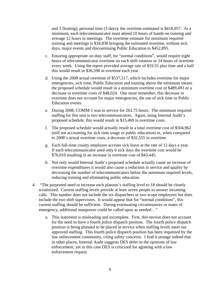and 3 floating); personal time (3 days); the overtime estimated is \$418,057. At a minimum, each telecommunicator must attend 10 hours of hands-on training and average 12 hours in meetings. The overtime estimate for minimum required training and meetings is \$34,838 bringing the estimated overtime, without sick days, major events and discontinuing Public Education to \$452,895.

- c. Ensuring appropriate on duty staff, for "normal conditions", would require eight hours of telecommunicator overtime on each shift rotation or 24 hours of overtime every week. Using the report provided average rate of \$19.55 plus time and a half this would result in \$36,598 in overtime each year.
- d. Using the 2008 actual overtime of \$537,517, which includes overtime for major emergencies, sick time, Public Education and training above the minimum means the proposed schedule would result in a minimum overtime cost of \$489,493 or a decrease in overtime costs of \$48,024. One must remember, this decrease in overtime does not account for major emergencies, the use of sick time or Public Education events.
- e. During 2008, COMM-1 was in service for 263.75 hours. The minimum required staffing for this unit is two telecommunicators. Again, using Internal Audit's proposed schedule, this would result in \$15,469 in overtime costs.
- f. The proposed schedule would actually result in a total overtime cost of \$504,962 (still not accounting for sick time usage or public education) or, when compared to 2008's actual overtime costs, a decrease of \$32,555 in overtime.
- g. Each full-time county employee accrues sick leave at the rate of 12 days a year. If each telecommunicator used only 6 sick days the overtime cost would be \$76,010 resulting in an increase in overtime cost of \$43,445.
- h. Not only would Internal Audit's proposed schedule actually cause an increase of overtime expenditures it would also cause a reduction in service and quality by decreasing the number of telecommunicators below the minimum required levels, reducing training and eliminating public education.
- 4. "The purported need to increase each platoon's staffing level to 18 should be closely scrutinized. Current staffing levels provide at least seven people to answer incoming calls. This number does not include the six dispatchers or two scope employees but does include the two shift supervisors. It would appear that for "normal conditions", this current staffing should be sufficient. During extenuating circumstances or states of emergency, additional manpower could be called upon as needed…"
	- a. This statement is misleading and incomplete. First, this section does not account for the need to have a fourth police dispatch position. The fourth police dispatch position is being planned to be placed in service when staffing levels meet our approved staffing. This fourth police dispatch position has been requested by the law enforcement community, citing safety concerns. I find it strange indeed that in other places, Internal Audit suggests DES defer to the opinions of law enforcement, yet in this case DES is criticized for agreeing with a law enforcement request.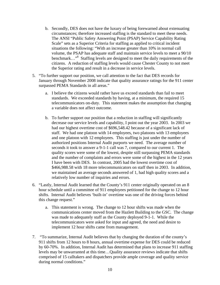- b. Secondly, DES does not have the luxury of being forewarned about extenuating circumstances; therefore increased staffing is the standard to meet these needs. The ANSI "Public Safety Answering Point (PSAP) Service Capability Rating Scale" sets as a Superior Criteria for staffing as applied to critical incident situations the following: "With an increase greater than 10% in normal call volume, the PSAP has adequate staff and maintain service levels to meet a 90/10 benchmark..."<sup>8</sup> Staffing levels are designed to meet the daily requirements of the citizens. A reduction of staffing levels would cause Chester County to not meet the Superior rating and result in a decrease in service levels.
- 5. "To further support our position, we call attention to the fact that DES records for January through November 2008 indicate that quality assurance ratings for the 911 center surpassed PEMA Standards in all areas."
	- a. I believe the citizens would rather have us exceed standards than fail to meet standards. We exceeded standards by having, at a minimum, the required 15 telecommunicators on-duty. This statement makes the assumption that changing a variable does not affect outcome.
	- b. To further support our position that a reduction in staffing will significantly decrease our service levels and capability, I point out the year 2003. In 2003 we had our highest overtime cost of \$696,548.42 because of a significant lack of staff. We had one platoon with 14 employees, two platoons with 13 employees and one platoon with 12 employees. This staffing is just under the number of authorized positions Internal Audit purports we need. The average number of seconds it took to answer a 9-1-1 call was 7, compared to our current 1. The quality scores were some of the lowest, despite still surpassing PEMA standards and the number of complaints and errors were some of the highest in the 12 years I have been with DES. In contrast, 2005 had the lowest overtime cost of \$466,988.58 with 18 more telecommunicators on staff then in 2003. In addition, we maintained an average seconds answered of 1, had high quality scores and a relatively low number of inquiries and errors.
- 6. "Lastly, Internal Audit learned that the County's 911 center originally operated on an 8 hour schedule until a committee of 911 employees petitioned for the change to 12 hour shifts. Internal Audit believes 'built-in' overtime was one of the driving forces behind this change request."
	- a. This statement is wrong. The change to 12 hour shifts was made when the communications center moved from the Hazlett Building to the GSC. The change was made to adequately staff as the County deployed 9-1-1. While the telecommunicators were asked for input and agreed, the need and desire to implement 12 hour shifts came from management.
- 7. "To summarize, Internal Audit believes that by changing the duration of the county's 911 shifts from 12 hours to 8 hours, annual overtime expense for DES could be reduced by 60-70%. In addition, Internal Audit has determined that plans to increase 911 staffing levels may be unwarranted at this time…Quality assurance reviews indicate that shifts comprised of 15 calltakers and dispatchers provide ample coverage and quality service during normal conditions."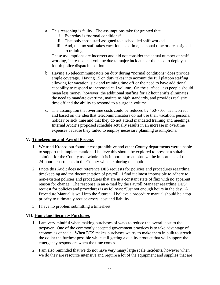- a. This reasoning is faulty. The assumptions take for granted that
	- i. Everyday is "normal conditions"
	- ii. That only those staff assigned to a scheduled shift worked
	- iii. And, that no staff takes vacation, sick time, personal time or are assigned to training.

These assumptions are incorrect and did not consider the actual number of staff working, increased call volume due to major incidents or the need to deploy a fourth police dispatch position.

- b. Having 15 telecommunicators on duty during "normal conditions" does provide ample coverage. Having 15 on duty takes into account the full platoon staffing allowing for vacation, sick and training time off or the need to have additional capability to respond to increased call volume. On the surface, less people should mean less money, however, the additional staffing for 12 hour shifts eliminates the need to mandate overtime, maintains high standards, and provides realistic time off and the ability to respond to a surge in volume.
- c. The assumption that overtime costs could be reduced by "60-70%" is incorrect and based on the idea that telecommunicators do not use their vacation, personal, holiday or sick time and that they do not attend mandated training and meetings. Internal Audit's proposed schedule actually results in an increase in overtime expenses because they failed to employ necessary planning assumptions.

#### **V. Timekeeping and Payroll Process**

- 1. We tried Kronos but found it cost prohibitive and other County departments were unable to support this implementation. I believe this should be explored to present a suitable solution for the County as a whole. It is important to emphasize the importance of the 24-hour departments in the County when exploring this option.
- 2. I note this Audit does not reference DES requests for policies and procedures regarding timekeeping and the documentation of payroll. I find it almost impossible to adhere to non-existent policies and procedures that are in a constant state of flux with no apparent reason for change. The response in an e-mail by the Payroll Manager regarding DES' request for policies and procedures is as follows: "Just not enough hours in the day. A Procedure Manual is well into the future". I believe a procedure manual should be a top priority to ultimately reduce errors, cost and liability.
- 3. I have no problem submitting a timesheet.

#### **VII. Homeland Security Purchases**

- 1. I am very mindful when making purchases of ways to reduce the overall cost to the taxpayer. One of the commonly accepted government practices is to take advantage of economies of scale. When DES makes purchases we try to make them in bulk to stretch the dollar the furthest possible while still getting a quality product that will support the emergency responders when the time comes.
- 2. I am also reminded that we do not have very many large scale incidents, however when we do they are resource intensive and require a lot of the equipment and supplies that are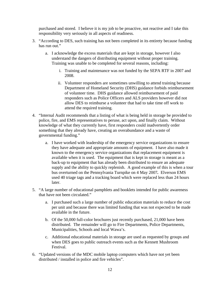purchased and stored. I believe it is my job to be proactive, not reactive and I take this responsibility very seriously in all aspects of readiness.

- 3. "According to DES, such training has not been completed in its entirety because funding has run out."
	- a. I acknowledge the excess materials that are kept in storage, however I also understand the dangers of distributing equipment without proper training. Training was unable to be completed for several reasons, including:
		- i. Training and maintenance was not funded by the SEPA RTF in 2007 and 2008.
		- ii. Volunteer responders are sometimes unwilling to attend training because Department of Homeland Security (DHS) guidance forbids reimbursement of volunteer time. DHS guidance allowed reimbursement of paid responders such as Police Officers and ALS providers however did not allow DES to reimburse a volunteer that had to take time off work to attend the required training.
- 4. "Internal Audit recommends that a listing of what is being held in storage be provided to police, fire, and EMS representatives to peruse, act upon, and finally claim. Without knowledge of what they currently have, first responders could inadvertently order something that they already have, creating an overabundance and a waste of governmental funding."
	- a. I have worked with leadership of the emergency service organizations to ensure they have adequate and appropriate amounts of equipment. I have also made it known to the emergency service organizations that replacement equipment is available when it is used. The equipment that is kept in storage is meant as a back-up to equipment that has already been distributed to ensure an adequate supply and the ability to quickly replenish. A good example of this is when a tour bus overturned on the Pennsylvania Turnpike on 4 May 2007*.* Elverson EMS used 40 triage tags and a tracking board which were replaced less than 24 hours later.
- 5. "A large number of educational pamphlets and booklets intended for public awareness that have not been circulated."
	- a. I purchased such a large number of public education materials to reduce the cost per unit and because there was limited funding that was not expected to be made available in the future.
	- b. Of the 50,000 full-color brochures just recently purchased, 21,000 have been distributed. The remainder will go to Fire Departments, Police Departments, Municipalities, Schools and local Wawa's.
	- c. Additional educational materials in storage are used as requested by groups and when DES goes to public outreach events such as the Kennett Mushroom Festival.
- 6. "Updated versions of the MDC mobile laptop computers which have not yet been distributed / installed in police and fire vehicles".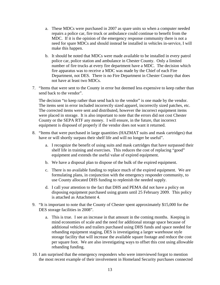- a. These MDCs were purchased in 2007 as spare units so when a computer needed repairs a police car, fire truck or ambulance could continue to benefit from the MDC. If it is the opinion of the emergency response community there is not a need for spare MDCs and should instead be installed in vehicles in-service, I will make this happen.
- b. It should be noted that MDCs were made available to be installed in every patrol police car, police station and ambulance in Chester County. Only a limited number of fire trucks at every fire department have a MDC. The decision which fire apparatus was to receive a MDC was made by the Chief of each Fire Department, not DES. There is no Fire Department in Chester County that does not have at least two MDCs.
- 7. "Items that were sent to the County in error but deemed less expensive to keep rather than send back to the vendor".

The decision "to keep rather than send back to the vendor" is one made by the vendor. The items sent in error included incorrectly sized apparel, incorrectly sized patches, etc. The corrected items were sent and distributed, however the incorrect equipment items were placed in storage. It is also important to note that the errors did not cost Chester County or the SEPA RTF any money. I will ensure, in the future, that incorrect equipment is disposed of properly if the vendor does not want it returned.

- 8. "Items that were purchased in large quantities (HAZMAT suits and mask cartridges) that have or will shortly surpass their shelf life and will no longer be useful".
	- a. I recognize the benefit of using suits and mask cartridges that have surpassed their shelf life in training and exercises. This reduces the cost of replacing "good" equipment and extends the useful value of expired equipment.
	- b. We have a disposal plan to dispose of the bulk of the expired equipment.
	- c. There is no available funding to replace much of the expired equipment. We are formulating plans, in conjunction with the emergency responder community, to use County allocated DHS funding to replenish the needed supply.
	- d. I call your attention to the fact that DHS and PEMA did not have a policy on disposing equipment purchased using grants until 25 February 2009. This policy is attached as Attachment 4.
- 9. "It is important to note that the County of Chester spent approximately \$15,000 for the DES storage facilities in 2008".
	- a. This is true. I see an increase in that amount in the coming months. Keeping in mind economies of scale and the need for additional storage space because of additional vehicles and trailers purchased using DHS funds and space needed for rebanding equipment staging, DES is investigating a larger warehouse style storage facility that will increase the available square footage and reduce the cost per square foot. We are also investigating ways to offset this cost using allowable rebanding funding.
- 10. I am surprised that the emergency responders who were interviewed forgot to mention the most recent example of their involvement in Homeland Security purchases connected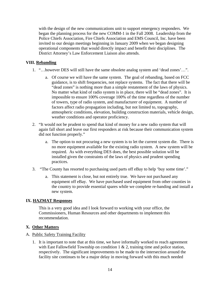with the design of the new communications unit to support emergency responders. We began the planning process for the new COMM-1 in the Fall 2008. Leadership from the Police Chiefs Association, Fire Chiefs Association and EMS Council, Inc. have been invited to our design meetings beginning in January 2009 when we began designing operational components that would directly impact and benefit their disciplines. The District Attorney's Law Enforcement Liaison also attends.

#### **VIII. Rebanding**

- 1. "…however DES will still have the same obsolete analog system and 'dead zones'…".
	- a. Of course we will have the same system. The goal of rebanding, based on FCC guidance, is to shift frequencies, not replace systems. The fact that there will be "dead zones" is nothing more than a simple restatement of the laws of physics. No matter what kind of radio system is in place, there will be "dead zones". It is impossible to ensure 100% coverage 100% of the time regardless of the number of towers, type of radio system, and manufacturer of equipment. A number of factors affect radio propagation including, but not limited to, topography, atmospheric conditions, elevation, building construction materials, vehicle design, weather conditions and operator proficiency.
- 2. "It would not be prudent to spend that kind of money for a new radio system that will again fall short and leave our first responders at risk because their communication system did not function properly."
	- a. The option to not procuring a new system is to let the current system die. There is no more equipment available for the existing radio system. A new system will be required. As with everything DES does, the best possible solution will be installed given the constraints of the laws of physics and prudent spending practices.
- 3. "The County has resorted to purchasing used parts off eBay to help 'buy some time'."
	- a. This statement is close, but not entirely true. We have not purchased any equipment off eBay. We have purchased used equipment from other counties in the country to provide essential spares while we complete re-banding and install a new system.

#### **IX. HAZMAT Responses**

This is a very good idea and I look forward to working with your office, the Commissioners, Human Resources and other departments to implement this recommendation.

#### **X. Other Matters**

#### A. Public Safety Training Facility

1. It is important to note that at this time, we have informally worked to reach agreement with East Fallowfield Township on condition  $1 \& 2$ , training time and police station, respectively. The significant improvements to be made to the intersection around the facility site continues to be a major delay in moving forward with this much needed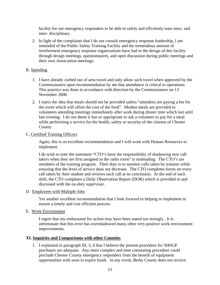facility for our emergency responders to be able to safely and efficiently train intra- and inter- disciplinary.

2. In light of the complaints that I do not consult emergency response leadership, I am reminded of the Public Safety Training Facility and the tremendous amount of involvement emergency response organizations have had in the design of this facility through design meetings, questionnaires, and open discussion during public meetings and their own Association meetings.

#### B. Spending

- 1. I have already curbed out of area travel and only allow such travel when approved by the Commissioners upon recommendation by me that attendance is critical to operations. This practice was done in accordance with direction by the Commissioners on 13 November 2008.
- 2. I reject the idea that meals should not be provided unless "attendees are paying a fee for the event which will offset the cost of the food". Modest meals are provided to volunteers attending meetings immediately after work during dinner time which last until late evening. I do not deem it fair or appropriate to ask a volunteer to pay for a meal while performing a service for the health, safety or security of the citizens of Chester County.

#### C. Certified Training Officers

Again, this is an excellent recommendation and I will work with Human Resources to implement.

I do wish to note the statement "CTO's have the responsibility of shadowing new call takers when they are first assigned to the radio room" is misleading. The CTO's are members of the training program. Their duty is to monitor calls taken by trainees while ensuring that the level of service does not decrease. The CTO completes forms on every call taken by their student and reviews each call at its conclusion. At the end of each shift, the CTO completes a Daily Observation Report (DOR) which is provided to and discussed with the on-duty supervisor.

#### D. Employees with Multiple Jobs

Yet another excellent recommendation that I look forward to helping to implement to ensure a timely and cost efficient process.

#### E. Work Environment

I regret that my enthusiasm for action may have been stated too strongly. It is unfortunate that this error has overshadowed many other very positive work environment improvements.

#### **XI. Inquiries and Comparisons with other Counties**

1. I explained in paragraph III, 3, d that I believe the present procedure for SHSGP purchases are adequate. Any more complex and time consuming procedure could preclude Chester County emergency responders from the benefit of equipment opportunities with soon to expire funds. In any event, Berks County does not receive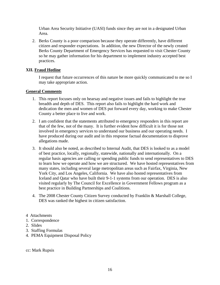Urban Area Security Initiative (UASI) funds since they are not in a designated Urban Area.

2. Berks County is a poor comparison because they operate differently, have different citizen and responder expectations. In addition, the new Director of the newly created Berks County Department of Emergency Services has requested to visit Chester County so he may gather information for his department to implement industry accepted best practices.

#### **XII. Fraud Hotline**

I request that future occurrences of this nature be more quickly communicated to me so I may take appropriate action.

#### **General Comments**

- 1. This report focuses only on hearsay and negative issues and fails to highlight the true breadth and depth of DES. This report also fails to highlight the hard work and dedication the men and women of DES put forward every day, working to make Chester County a better place to live and work.
- 2. I am confident that the statements attributed to emergency responders in this report are that of the few, not of the many. It is further evident how difficult it is for those not involved in emergency services to understand our business and our operating needs. I have produced during our audit and in this response factual documentation to disprove allegations made.
- 3. It should also be noted, as described to Internal Audit, that DES is looked to as a model of best practice, locally, regionally, statewide, nationally and internationally. On a regular basis agencies are calling or spending public funds to send representatives to DES to learn how we operate and how we are structured. We have hosted representatives from many states, including several large metropolitan areas such as Fairfax, Virginia, New York City, and Los Angeles, California. We have also hosted representatives from Iceland and Qatar who have built their 9-1-1 systems from our operation. DES is also visited regularly by The Council for Excellence in Government Fellows program as a best practice in Building Partnerships and Coalitions.
- 4. The 2008 Chester County Citizen Survey conducted by Franklin & Marshall College, DES was ranked the highest in citizen satisfaction.
- 4 Attachments
- 1. Correspondence
- 2. Slides
- 3. Staffing Formulas
- 4. PEMA Equipment Disposal Policy

cc: Mark Rupsis